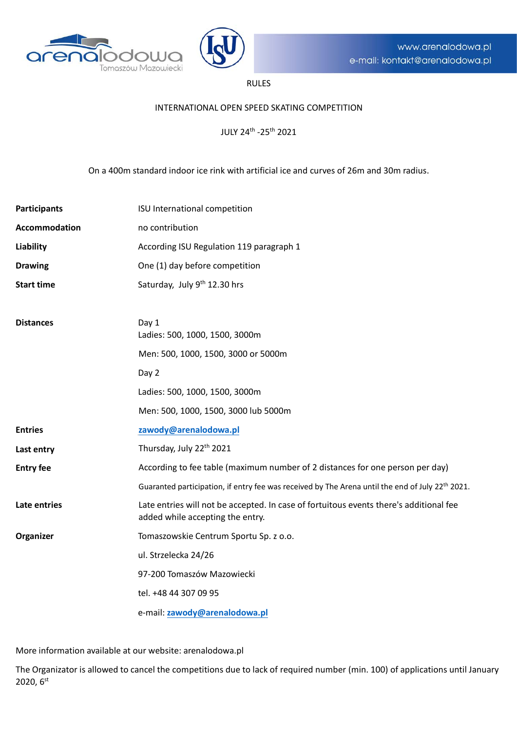



# RULES

#### INTERNATIONAL OPEN SPEED SKATING COMPETITION

JULY 24th -25th 2021

On a 400m standard indoor ice rink with artificial ice and curves of 26m and 30m radius.

| <b>Participants</b>  | ISU International competition                                                                                              |
|----------------------|----------------------------------------------------------------------------------------------------------------------------|
| <b>Accommodation</b> | no contribution                                                                                                            |
| Liability            | According ISU Regulation 119 paragraph 1                                                                                   |
| <b>Drawing</b>       | One (1) day before competition                                                                                             |
| <b>Start time</b>    | Saturday, July 9th 12.30 hrs                                                                                               |
|                      |                                                                                                                            |
| <b>Distances</b>     | Day 1<br>Ladies: 500, 1000, 1500, 3000m                                                                                    |
|                      | Men: 500, 1000, 1500, 3000 or 5000m                                                                                        |
|                      | Day 2                                                                                                                      |
|                      | Ladies: 500, 1000, 1500, 3000m                                                                                             |
|                      | Men: 500, 1000, 1500, 3000 lub 5000m                                                                                       |
| <b>Entries</b>       | zawody@arenalodowa.pl                                                                                                      |
| Last entry           | Thursday, July 22 <sup>th</sup> 2021                                                                                       |
| <b>Entry fee</b>     | According to fee table (maximum number of 2 distances for one person per day)                                              |
|                      | Guaranted participation, if entry fee was received by The Arena until the end of July 22 <sup>th</sup> 2021.               |
| Late entries         | Late entries will not be accepted. In case of fortuitous events there's additional fee<br>added while accepting the entry. |
| Organizer            | Tomaszowskie Centrum Sportu Sp. z o.o.                                                                                     |
|                      | ul. Strzelecka 24/26                                                                                                       |
|                      | 97-200 Tomaszów Mazowiecki                                                                                                 |
|                      | tel. +48 44 307 09 95                                                                                                      |
|                      | e-mail: zawody@arenalodowa.pl                                                                                              |

More information available at our website: arenalodowa.pl

The Organizator is allowed to cancel the competitions due to lack of required number (min. 100) of applications until January 2020, 6st